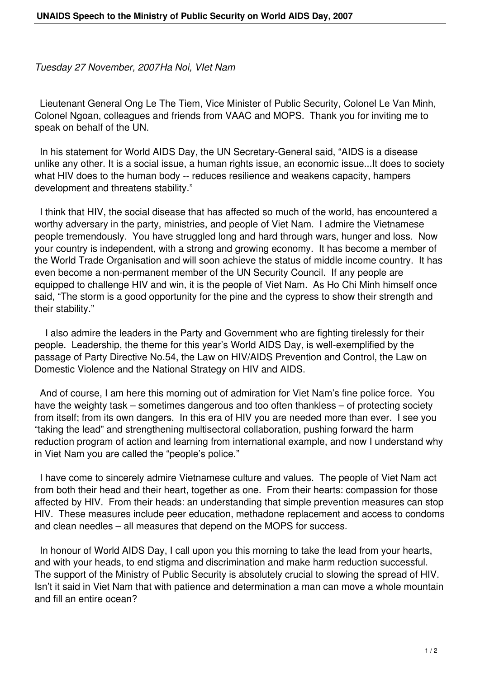*Tuesday 27 November, 2007Ha Noi, VIet Nam*

 Lieutenant General Ong Le The Tiem, Vice Minister of Public Security, Colonel Le Van Minh, Colonel Ngoan, colleagues and friends from VAAC and MOPS. Thank you for inviting me to speak on behalf of the UN.

 In his statement for World AIDS Day, the UN Secretary-General said, "AIDS is a disease unlike any other. It is a social issue, a human rights issue, an economic issue...It does to society what HIV does to the human body -- reduces resilience and weakens capacity, hampers development and threatens stability."

 I think that HIV, the social disease that has affected so much of the world, has encountered a worthy adversary in the party, ministries, and people of Viet Nam. I admire the Vietnamese people tremendously. You have struggled long and hard through wars, hunger and loss. Now your country is independent, with a strong and growing economy. It has become a member of the World Trade Organisation and will soon achieve the status of middle income country. It has even become a non-permanent member of the UN Security Council. If any people are equipped to challenge HIV and win, it is the people of Viet Nam. As Ho Chi Minh himself once said, "The storm is a good opportunity for the pine and the cypress to show their strength and their stability."

 I also admire the leaders in the Party and Government who are fighting tirelessly for their people. Leadership, the theme for this year's World AIDS Day, is well-exemplified by the passage of Party Directive No.54, the Law on HIV/AIDS Prevention and Control, the Law on Domestic Violence and the National Strategy on HIV and AIDS.

 And of course, I am here this morning out of admiration for Viet Nam's fine police force. You have the weighty task – sometimes dangerous and too often thankless – of protecting society from itself; from its own dangers. In this era of HIV you are needed more than ever. I see you "taking the lead" and strengthening multisectoral collaboration, pushing forward the harm reduction program of action and learning from international example, and now I understand why in Viet Nam you are called the "people's police."

 I have come to sincerely admire Vietnamese culture and values. The people of Viet Nam act from both their head and their heart, together as one. From their hearts: compassion for those affected by HIV. From their heads: an understanding that simple prevention measures can stop HIV. These measures include peer education, methadone replacement and access to condoms and clean needles – all measures that depend on the MOPS for success.

 In honour of World AIDS Day, I call upon you this morning to take the lead from your hearts, and with your heads, to end stigma and discrimination and make harm reduction successful. The support of the Ministry of Public Security is absolutely crucial to slowing the spread of HIV. Isn't it said in Viet Nam that with patience and determination a man can move a whole mountain and fill an entire ocean?